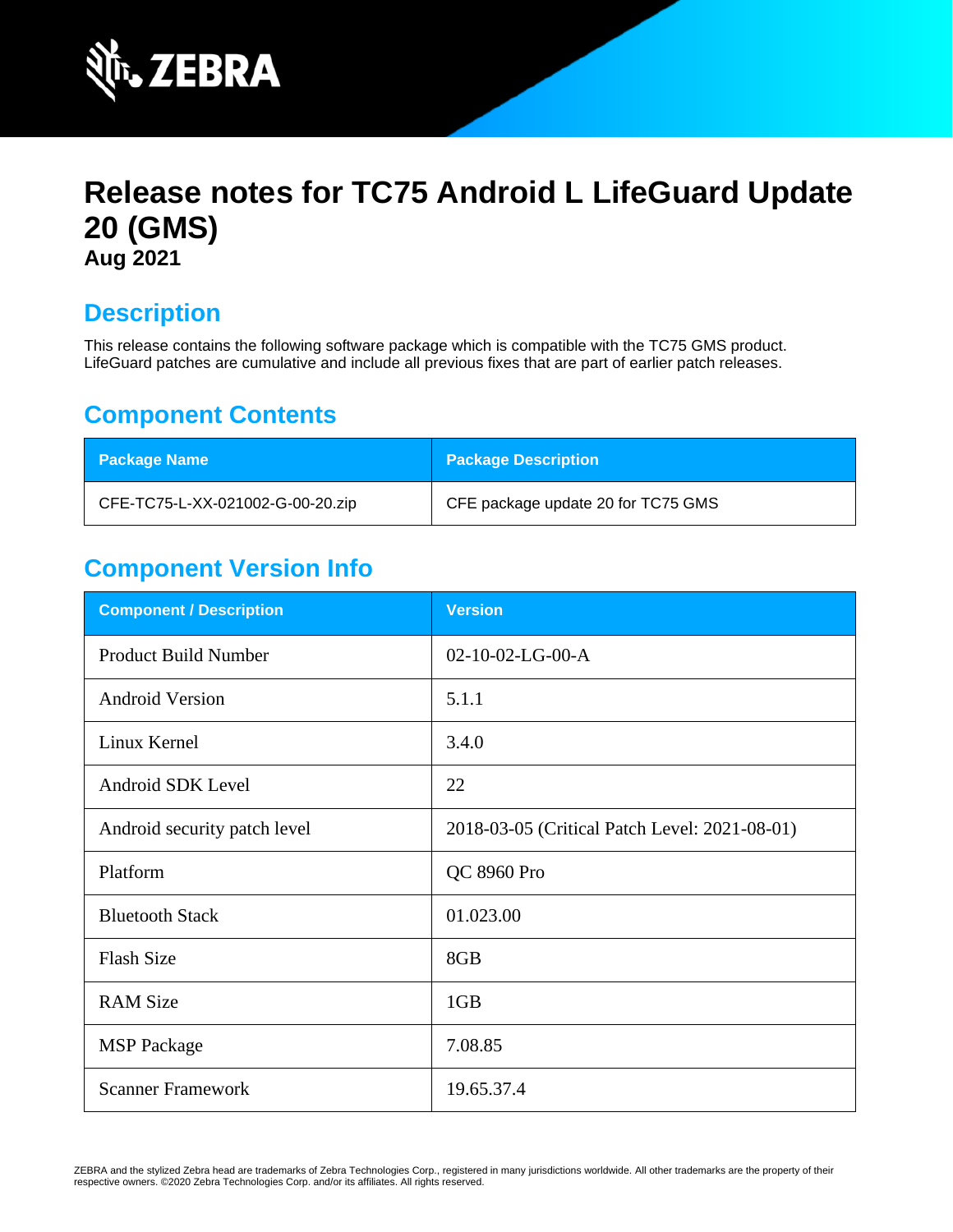

# **Release notes for TC75 Android L LifeGuard Update 20 (GMS) Aug 2021**

### **Description**

This release contains the following software package which is compatible with the TC75 GMS product. LifeGuard patches are cumulative and include all previous fixes that are part of earlier patch releases.

### **Component Contents**

| <b>Package Name</b>              | <b>Package Description</b>         |
|----------------------------------|------------------------------------|
| CFE-TC75-L-XX-021002-G-00-20.zip | CFE package update 20 for TC75 GMS |

### **Component Version Info**

| <b>Component / Description</b> | <b>Version</b>                                |
|--------------------------------|-----------------------------------------------|
| <b>Product Build Number</b>    | $02-10-02-LG-00-A$                            |
| <b>Android Version</b>         | 5.1.1                                         |
| Linux Kernel                   | 3.4.0                                         |
| Android SDK Level              | 22                                            |
| Android security patch level   | 2018-03-05 (Critical Patch Level: 2021-08-01) |
| Platform                       | QC 8960 Pro                                   |
| <b>Bluetooth Stack</b>         | 01.023.00                                     |
| <b>Flash Size</b>              | 8GB                                           |
| <b>RAM Size</b>                | 1GB                                           |
| <b>MSP</b> Package             | 7.08.85                                       |
| <b>Scanner Framework</b>       | 19.65.37.4                                    |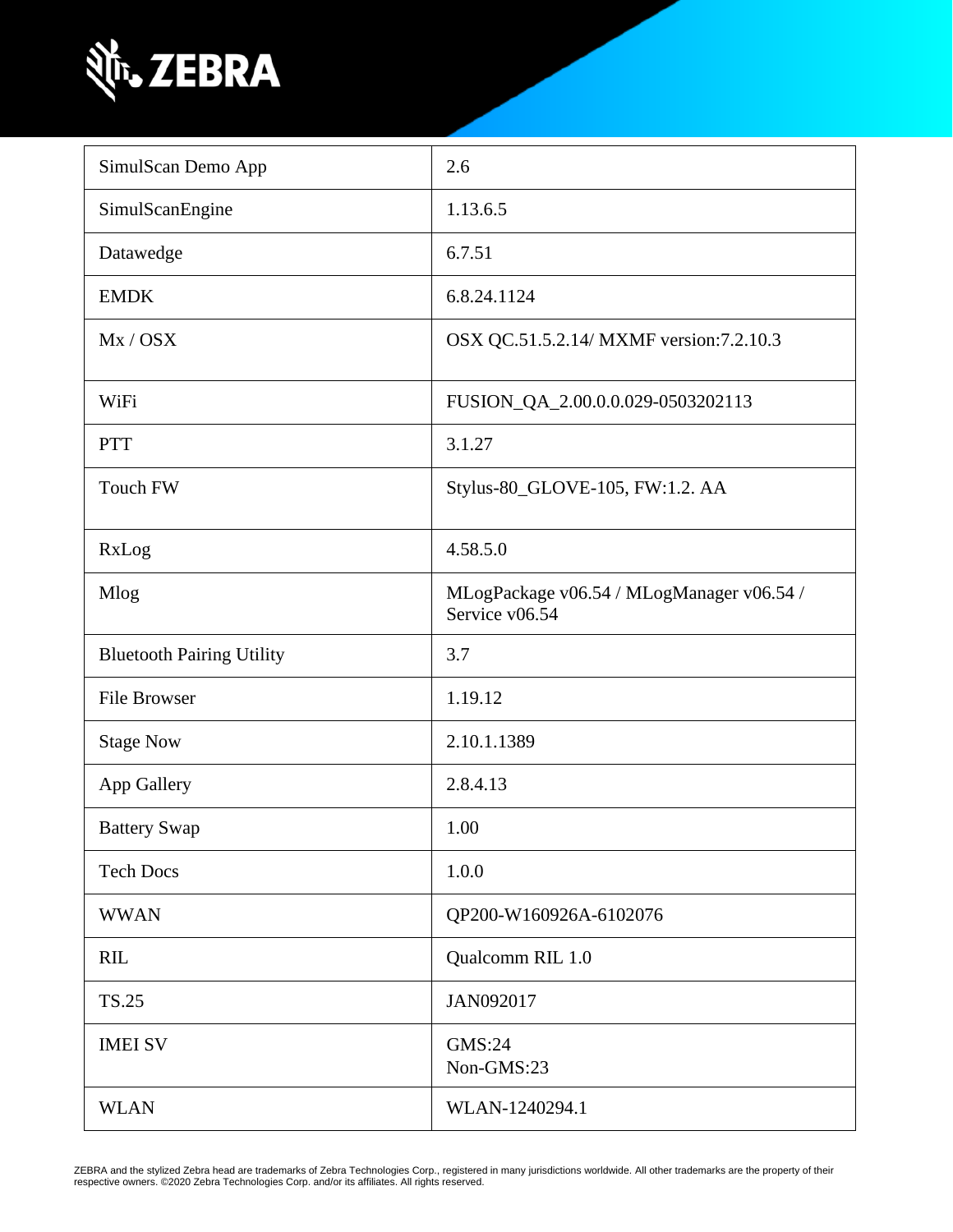

| SimulScan Demo App               | 2.6                                                         |
|----------------------------------|-------------------------------------------------------------|
| SimulScanEngine                  | 1.13.6.5                                                    |
| Datawedge                        | 6.7.51                                                      |
| <b>EMDK</b>                      | 6.8.24.1124                                                 |
| Mx / OSX                         | OSX QC.51.5.2.14/ MXMF version:7.2.10.3                     |
| WiFi                             | FUSION_QA_2.00.0.0.029-0503202113                           |
| <b>PTT</b>                       | 3.1.27                                                      |
| Touch FW                         | Stylus-80_GLOVE-105, FW:1.2. AA                             |
| RxLog                            | 4.58.5.0                                                    |
| Mlog                             | MLogPackage v06.54 / MLogManager v06.54 /<br>Service v06.54 |
| <b>Bluetooth Pairing Utility</b> | 3.7                                                         |
| <b>File Browser</b>              | 1.19.12                                                     |
| <b>Stage Now</b>                 | 2.10.1.1389                                                 |
| App Gallery                      | 2.8.4.13                                                    |
| <b>Battery Swap</b>              | 1.00                                                        |
| <b>Tech Docs</b>                 | 1.0.0                                                       |
| <b>WWAN</b>                      | QP200-W160926A-6102076                                      |
| <b>RIL</b>                       | Qualcomm RIL 1.0                                            |
| <b>TS.25</b>                     | JAN092017                                                   |
| <b>IMEI SV</b>                   | GMS:24<br>Non-GMS:23                                        |
| <b>WLAN</b>                      | WLAN-1240294.1                                              |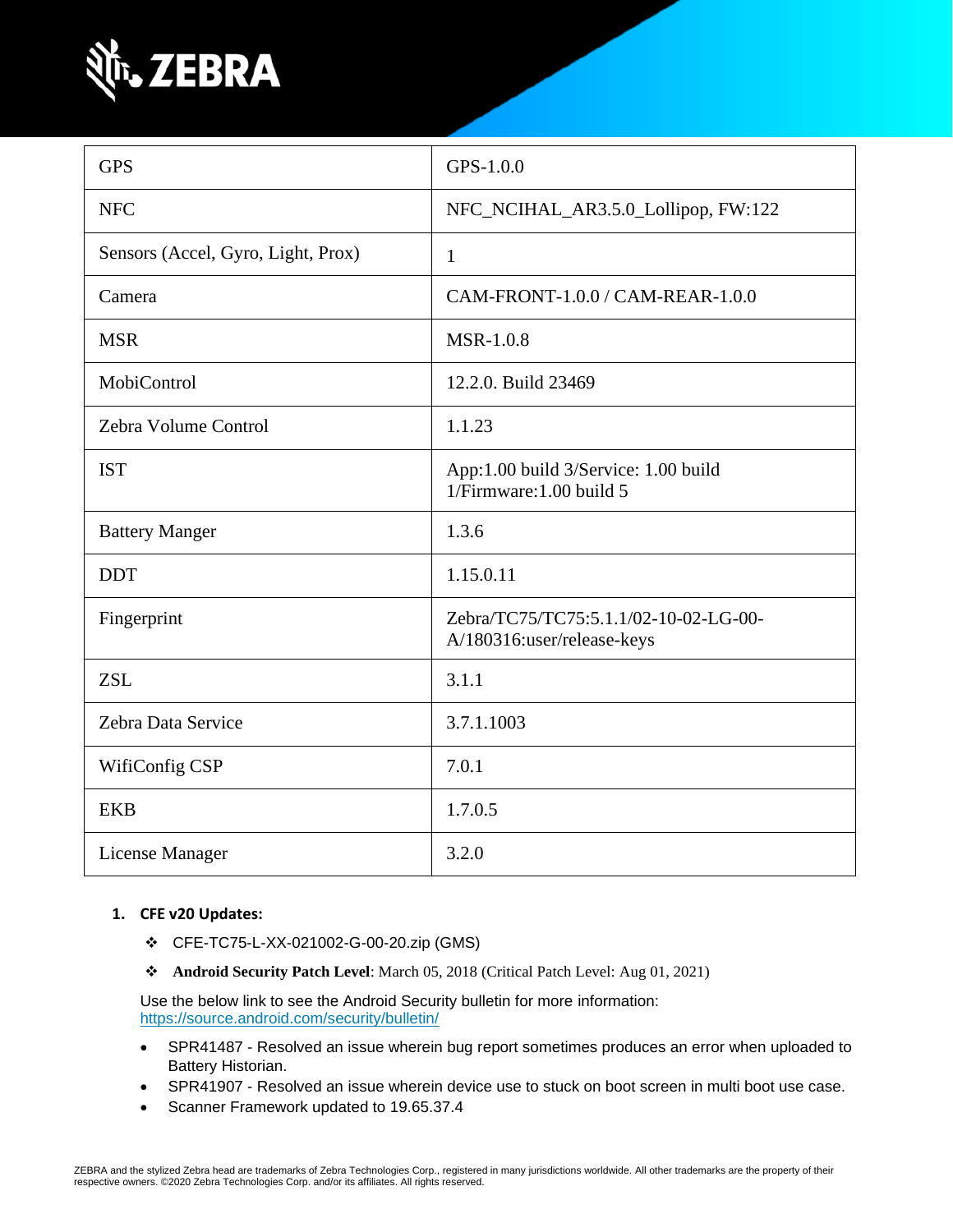

| <b>GPS</b>                         | GPS-1.0.0                                                           |
|------------------------------------|---------------------------------------------------------------------|
| <b>NFC</b>                         | NFC_NCIHAL_AR3.5.0_Lollipop, FW:122                                 |
| Sensors (Accel, Gyro, Light, Prox) | $\mathbf{1}$                                                        |
| Camera                             | CAM-FRONT-1.0.0 / CAM-REAR-1.0.0                                    |
| <b>MSR</b>                         | <b>MSR-1.0.8</b>                                                    |
| MobiControl                        | 12.2.0. Build 23469                                                 |
| Zebra Volume Control               | 1.1.23                                                              |
| <b>IST</b>                         | App:1.00 build 3/Service: 1.00 build<br>1/Firmware: 1.00 build 5    |
| <b>Battery Manger</b>              | 1.3.6                                                               |
| <b>DDT</b>                         | 1.15.0.11                                                           |
| Fingerprint                        | Zebra/TC75/TC75:5.1.1/02-10-02-LG-00-<br>A/180316:user/release-keys |
| <b>ZSL</b>                         | 3.1.1                                                               |
| Zebra Data Service                 | 3.7.1.1003                                                          |
| WifiConfig CSP                     | 7.0.1                                                               |
| <b>EKB</b>                         | 1.7.0.5                                                             |
| License Manager                    | 3.2.0                                                               |

#### **1. CFE v20 Updates:**

- ❖ CFE-TC75-L-XX-021002-G-00-20.zip (GMS)
- ❖ **Android Security Patch Level**: March 05, 2018 (Critical Patch Level: Aug 01, 2021)

Use the below link to see the Android Security bulletin for more information: <https://source.android.com/security/bulletin/>

- SPR41487 Resolved an issue wherein bug report sometimes produces an error when uploaded to Battery Historian.
- SPR41907 Resolved an issue wherein device use to stuck on boot screen in multi boot use case.
- Scanner Framework updated to 19.65.37.4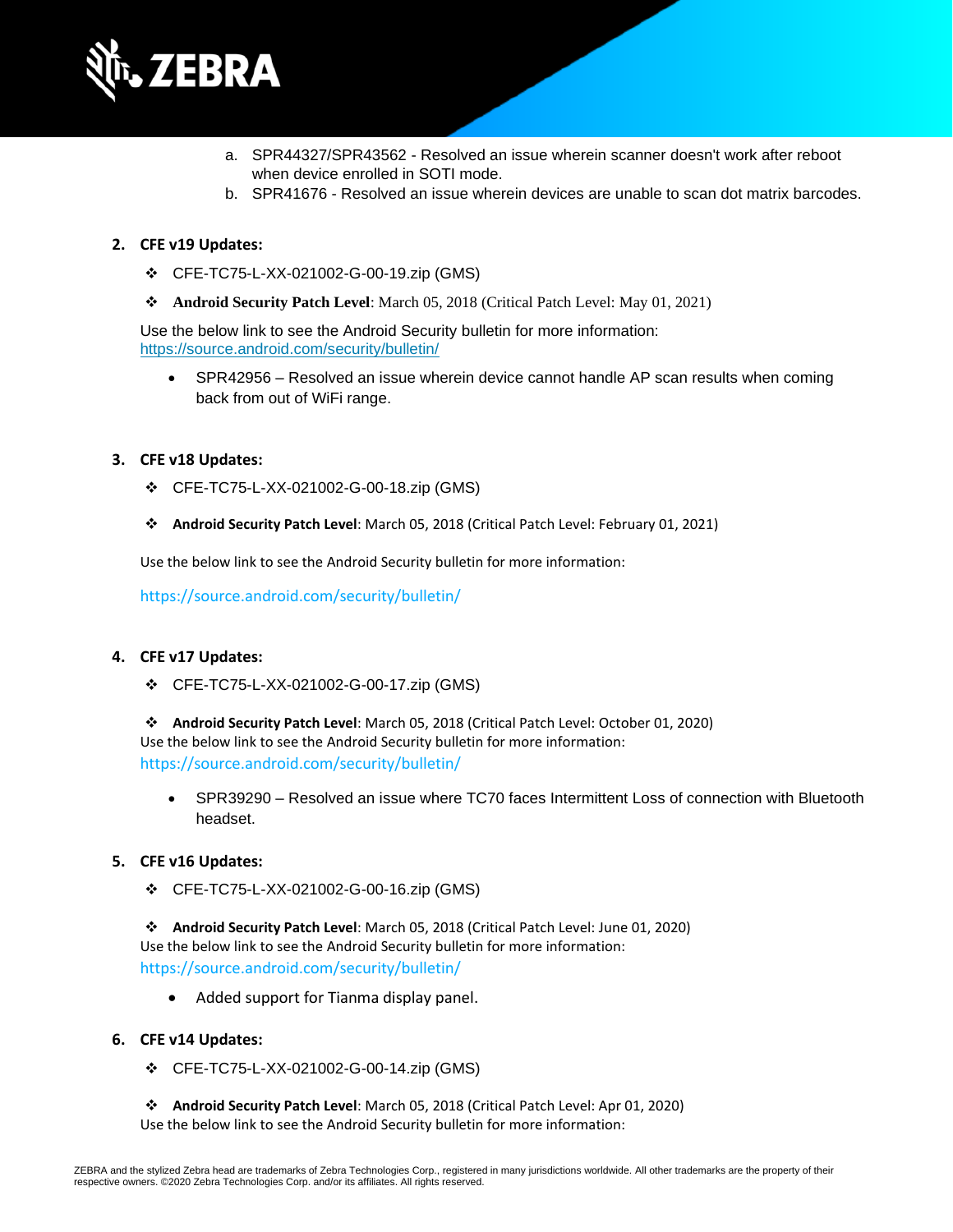

- a. SPR44327/SPR43562 Resolved an issue wherein scanner doesn't work after reboot when device enrolled in SOTI mode.
- b. SPR41676 Resolved an issue wherein devices are unable to scan dot matrix barcodes.

#### **2. CFE v19 Updates:**

- ❖ CFE-TC75-L-XX-021002-G-00-19.zip (GMS)
- ❖ **Android Security Patch Level**: March 05, 2018 (Critical Patch Level: May 01, 2021)

Use the below link to see the Android Security bulletin for more information: <https://source.android.com/security/bulletin/>

• [SPR4](https://jiraemv.zebra.com/browse/BSPA-131963)2956 – Resolved an issue wherein device cannot handle AP scan results when coming back from out of WiFi range.

#### **3. CFE v18 Updates:**

- ❖ CFE-TC75-L-XX-021002-G-00-18.zip (GMS)
- ❖ **Android Security Patch Level**: March 05, 2018 (Critical Patch Level: February 01, 2021)

Use the below link to see the Android Security bulletin for more information:

<https://source.android.com/security/bulletin/>

#### **4. CFE v17 Updates:**

❖ CFE-TC75-L-XX-021002-G-00-17.zip (GMS)

❖ **Android Security Patch Level**: March 05, 2018 (Critical Patch Level: October 01, 2020) Use the below link to see the Android Security bulletin for more information: <https://source.android.com/security/bulletin/>

• SPR39290 – Resolved an issue where TC70 faces Intermittent Loss of connection with Bluetooth headset.

#### **5. CFE v16 Updates:**

❖ CFE-TC75-L-XX-021002-G-00-16.zip (GMS)

❖ **Android Security Patch Level**: March 05, 2018 (Critical Patch Level: June 01, 2020) Use the below link to see the Android Security bulletin for more information: <https://source.android.com/security/bulletin/>

• Added support for Tianma display panel.

#### **6. CFE v14 Updates:**

- ❖ CFE-TC75-L-XX-021002-G-00-14.zip (GMS)
- ❖ **Android Security Patch Level**: March 05, 2018 (Critical Patch Level: Apr 01, 2020) Use the below link to see the Android Security bulletin for more information: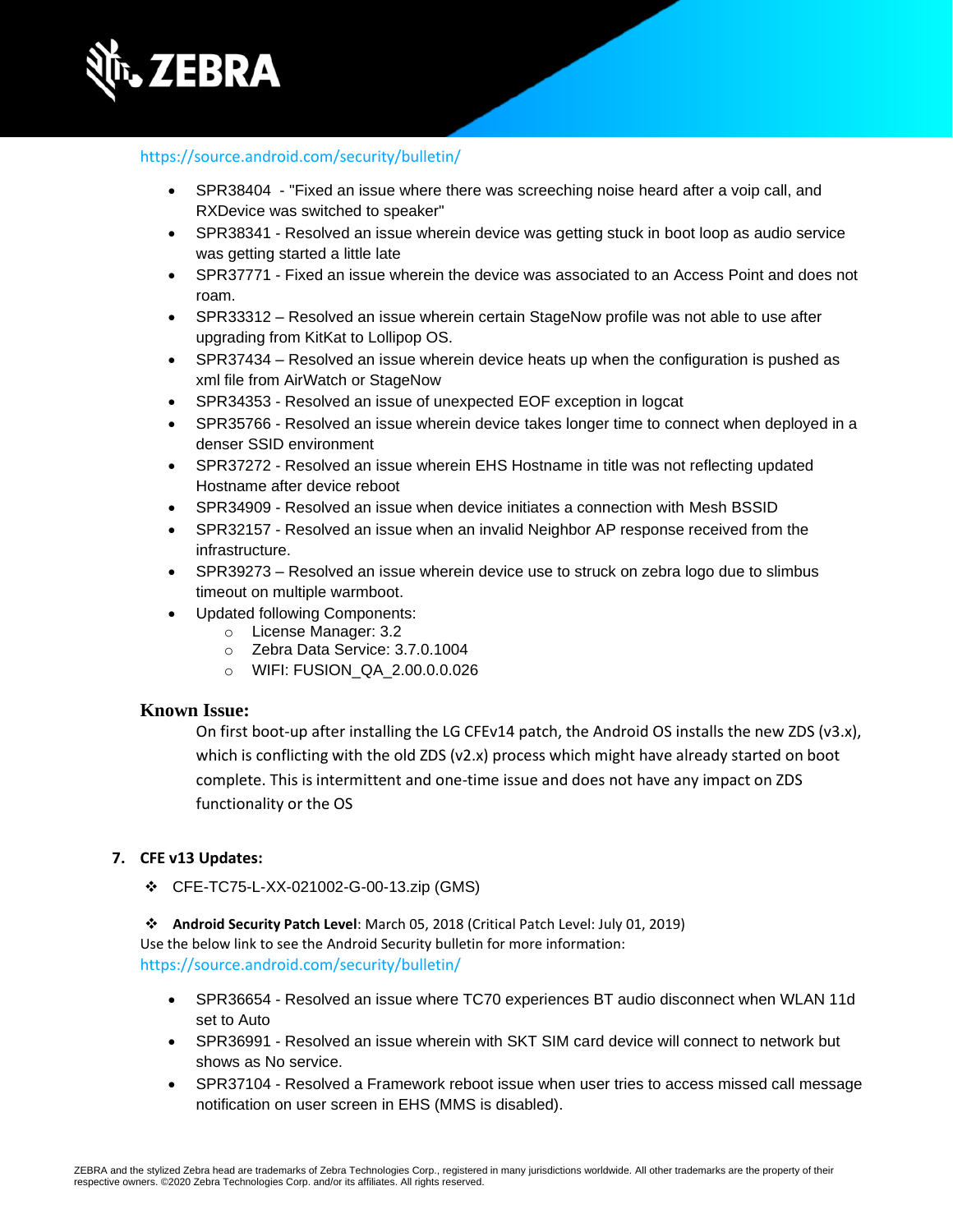

#### <https://source.android.com/security/bulletin/>

- [SPR38404](https://jiraemv.zebra.com/browse/BSPA-131963)  "Fixed an issue where there was screeching noise heard after a voip call, and RXDevice was switched to speaker"
- SPR38341 Resolved an issue wherein device was getting stuck in boot loop as audio service was getting started a little late
- SPR37771 Fixed an issue wherein the device was associated to an Access Point and does not roam.
- SPR33312 Resolved an issue wherein certain StageNow profile was not able to use after upgrading from KitKat to Lollipop OS.
- SPR37434 Resolved an issue wherein device heats up when the configuration is pushed as xml file from AirWatch or StageNow
- SPR34353 Resolved an issue of unexpected EOF exception in logcat
- SPR35766 Resolved an issue wherein device takes longer time to connect when deployed in a denser SSID environment
- SPR37272 Resolved an issue wherein EHS Hostname in title was not reflecting updated Hostname after device reboot
- SPR34909 Resolved an issue when device initiates a connection with Mesh BSSID
- [SPR32157](https://jiraemv.zebra.com/browse/BSPA-86471) Resolved an issue when an invalid Neighbor AP response received from the infrastructure.
- [SPR39273](https://jiraemv.zebra.com/browse/BSPA-142071) Resolved an issue wherein device use to struck on zebra logo due to slimbus timeout on multiple warmboot.
- Updated following Components:
	- o License Manager: 3.2
		- o Zebra Data Service: 3.7.0.1004
		- o WIFI: FUSION\_QA\_2.00.0.0.026

#### **Known Issue:**

On first boot-up after installing the LG CFEv14 patch, the Android OS installs the new ZDS (v3.x), which is conflicting with the old ZDS (v2.x) process which might have already started on boot complete. This is intermittent and one-time issue and does not have any impact on ZDS functionality or the OS

#### **7. CFE v13 Updates:**

❖ CFE-TC75-L-XX-021002-G-00-13.zip (GMS)

❖ **Android Security Patch Level**: March 05, 2018 (Critical Patch Level: July 01, 2019) Use the below link to see the Android Security bulletin for more information: <https://source.android.com/security/bulletin/>

- SPR36654 Resolved an issue where TC70 experiences BT audio disconnect when WLAN 11d set to Auto
- SPR36991 Resolved an issue wherein with SKT SIM card device will connect to network but shows as No service.
- SPR37104 Resolved a Framework reboot issue when user tries to access missed call message notification on user screen in EHS (MMS is disabled).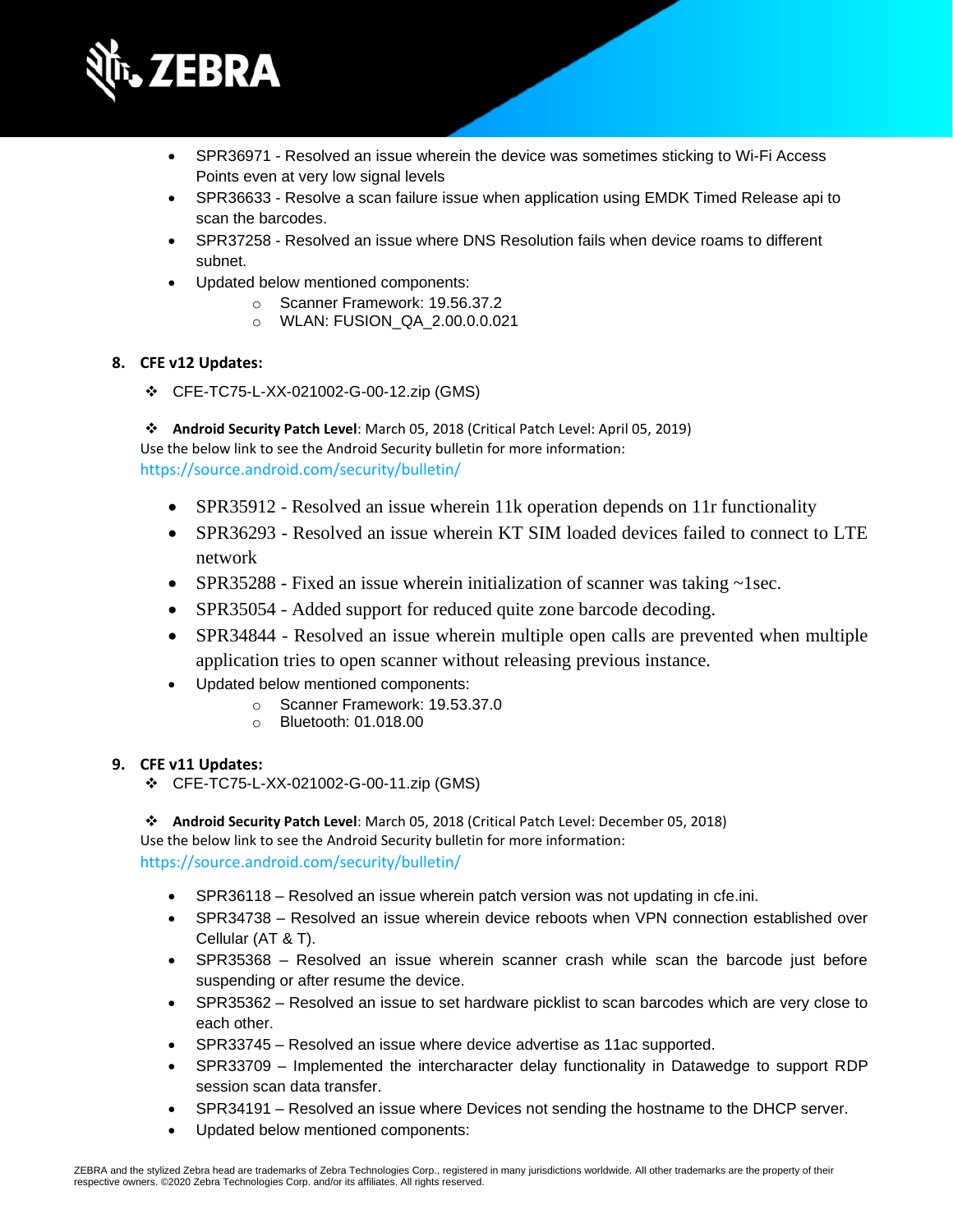

- SPR36971 Resolved an issue wherein the device was sometimes sticking to Wi-Fi Access Points even at very low signal levels
- SPR36633 Resolve a scan failure issue when application using EMDK Timed Release api to scan the barcodes.
- SPR37258 Resolved an issue where DNS Resolution fails when device roams to different subnet.
- Updated below mentioned components:
	- o Scanner Framework: 19.56.37.2
		- o WLAN: FUSION\_QA\_2.00.0.0.021

#### **8. CFE v12 Updates:**

- ❖ CFE-TC75-L-XX-021002-G-00-12.zip (GMS)
- ❖ **Android Security Patch Level**: March 05, 2018 (Critical Patch Level: April 05, 2019) Use the below link to see the Android Security bulletin for more information:

<https://source.android.com/security/bulletin/>

- SPR35912 Resolved an issue wherein 11k operation depends on 11r functionality
- SPR36293 Resolved an issue wherein KT SIM loaded devices failed to connect to LTE network
- SPR35288 Fixed an issue wherein initialization of scanner was taking ~1sec.
- SPR35054 Added support for reduced quite zone barcode decoding.
- SPR34844 Resolved an issue wherein multiple open calls are prevented when multiple application tries to open scanner without releasing previous instance.
- Updated below mentioned components:
	- o Scanner Framework: 19.53.37.0
	- o Bluetooth: 01.018.00

#### **9. CFE v11 Updates:**

❖ CFE-TC75-L-XX-021002-G-00-11.zip (GMS)

❖ **Android Security Patch Level**: March 05, 2018 (Critical Patch Level: December 05, 2018) Use the below link to see the Android Security bulletin for more information: <https://source.android.com/security/bulletin/>

- SPR36118 Resolved an issue wherein patch version was not updating in cfe.ini.
- SPR34738 Resolved an issue wherein device reboots when VPN connection established over Cellular (AT & T).
- SPR35368 Resolved an issue wherein scanner crash while scan the barcode just before suspending or after resume the device.
- SPR35362 Resolved an issue to set hardware picklist to scan barcodes which are very close to each other.
- SPR33745 Resolved an issue where device advertise as 11ac supported.
- SPR33709 Implemented the intercharacter delay functionality in Datawedge to support RDP session scan data transfer.
- SPR34191 Resolved an issue where Devices not sending the hostname to the DHCP server.
- Updated below mentioned components: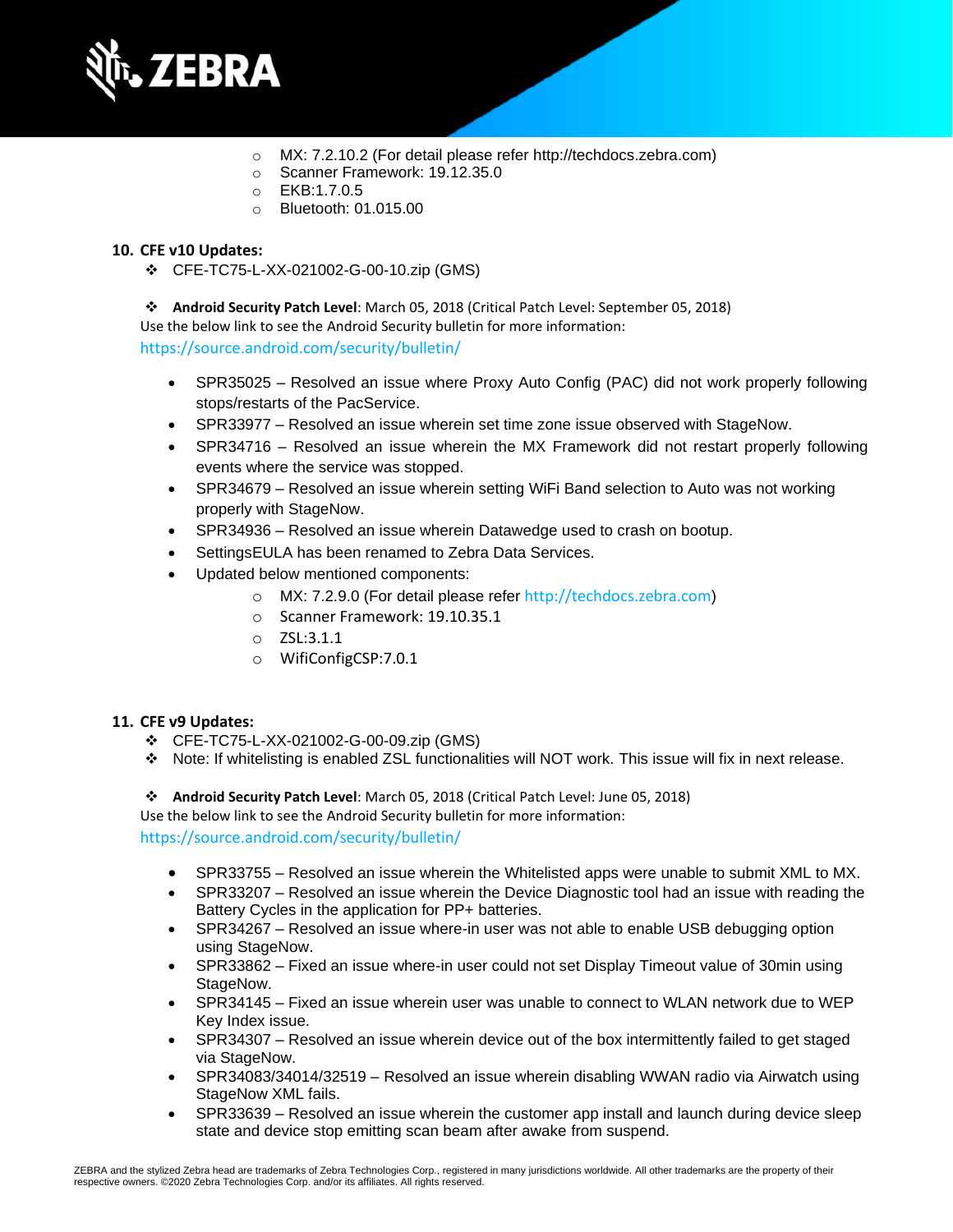

- o MX: 7.2.10.2 (For detail please refer [http://techdocs.zebra.com\)](http://techdocs.zebra.com/)
- o Scanner Framework: 19.12.35.0
- o EKB:1.7.0.5
- o Bluetooth: 01.015.00

#### **10. CFE v10 Updates:**

❖ CFE-TC75-L-XX-021002-G-00-10.zip (GMS)

❖ **Android Security Patch Level**: March 05, 2018 (Critical Patch Level: September 05, 2018) Use the below link to see the Android Security bulletin for more information:

<https://source.android.com/security/bulletin/>

- SPR35025 Resolved an issue where Proxy Auto Config (PAC) did not work properly following stops/restarts of the PacService.
- SPR33977 Resolved an issue wherein set time zone issue observed with StageNow.
- SPR34716 Resolved an issue wherein the MX Framework did not restart properly following events where the service was stopped.
- SPR34679 Resolved an issue wherein setting WiFi Band selection to Auto was not working properly with StageNow.
- SPR34936 Resolved an issue wherein Datawedge used to crash on bootup.
- SettingsEULA has been renamed to Zebra Data Services.
- Updated below mentioned components:
	- o MX: 7.2.9.0 (For detail please refer [http://techdocs.zebra.com](http://techdocs.zebra.com/))
	- o Scanner Framework: 19.10.35.1
	- o ZSL:3.1.1
	- o WifiConfigCSP:7.0.1

#### **11. CFE v9 Updates:**

- ❖ CFE-TC75-L-XX-021002-G-00-09.zip (GMS)
- ❖ Note: If whitelisting is enabled ZSL functionalities will NOT work. This issue will fix in next release.
- ❖ **Android Security Patch Level**: March 05, 2018 (Critical Patch Level: June 05, 2018)

Use the below link to see the Android Security bulletin for more information:

<https://source.android.com/security/bulletin/>

- SPR33755 Resolved an issue wherein the Whitelisted apps were unable to submit XML to MX.
- SPR33207 Resolved an issue wherein the Device Diagnostic tool had an issue with reading the Battery Cycles in the application for PP+ batteries.
- SPR34267 Resolved an issue where-in user was not able to enable USB debugging option using StageNow.
- SPR33862 Fixed an issue where-in user could not set Display Timeout value of 30min using StageNow.
- SPR34145 Fixed an issue wherein user was unable to connect to WLAN network due to WEP Key Index issue.
- SPR34307 Resolved an issue wherein device out of the box intermittently failed to get staged via StageNow.
- SPR34083/34014/32519 Resolved an issue wherein disabling WWAN radio via Airwatch using StageNow XML fails.
- SPR33639 Resolved an issue wherein the customer app install and launch during device sleep state and device stop emitting scan beam after awake from suspend.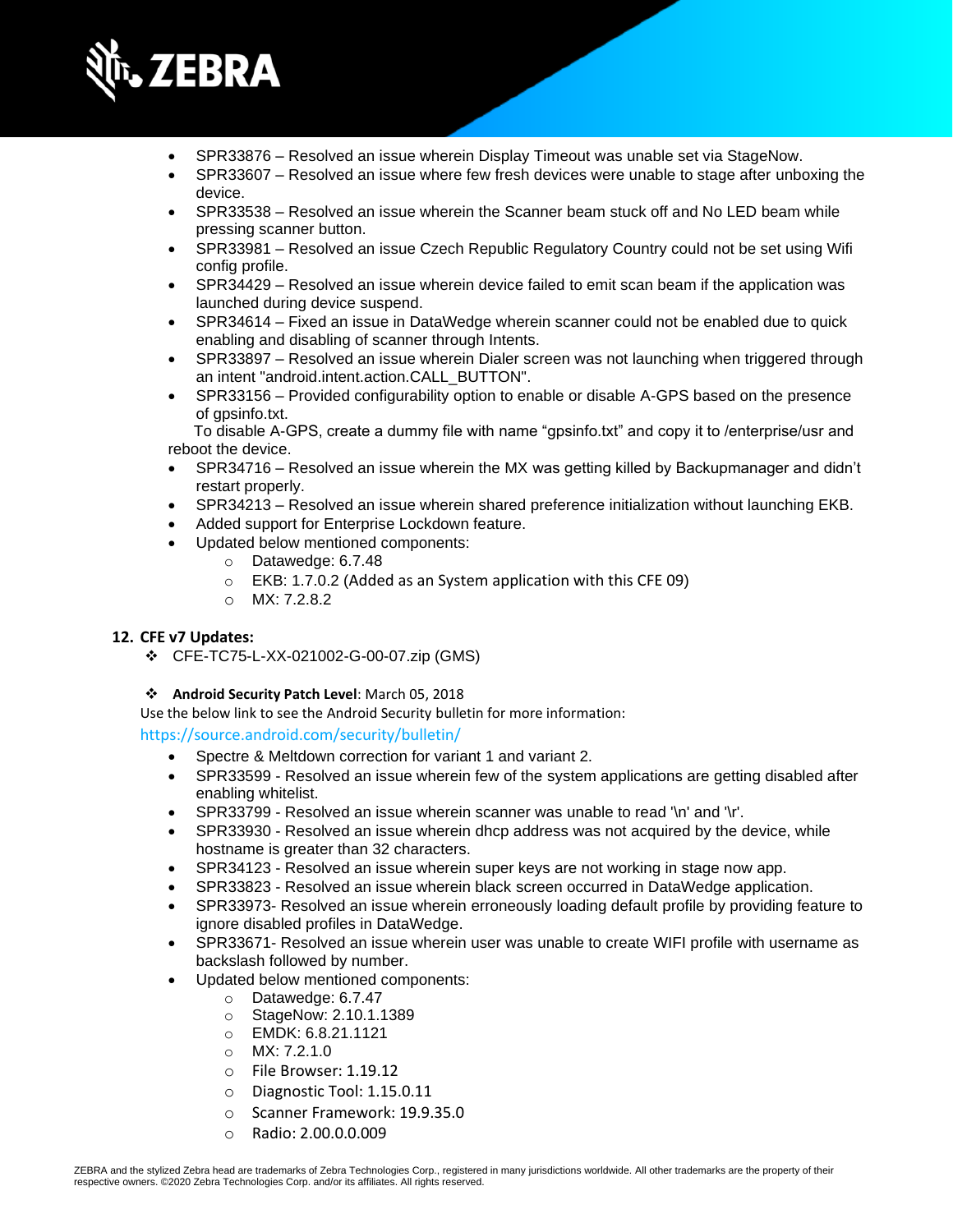

- SPR33876 Resolved an issue wherein Display Timeout was unable set via StageNow.
- SPR33607 Resolved an issue where few fresh devices were unable to stage after unboxing the device.
- SPR33538 Resolved an issue wherein the Scanner beam stuck off and No LED beam while pressing scanner button.
- SPR33981 Resolved an issue Czech Republic Regulatory Country could not be set using Wifi config profile.
- SPR34429 Resolved an issue wherein device failed to emit scan beam if the application was launched during device suspend.
- SPR34614 Fixed an issue in DataWedge wherein scanner could not be enabled due to quick enabling and disabling of scanner through Intents.
- SPR33897 Resolved an issue wherein Dialer screen was not launching when triggered through an intent "android.intent.action.CALL\_BUTTON".
- SPR33156 Provided configurability option to enable or disable A-GPS based on the presence of gpsinfo.txt.

 To disable A-GPS, create a dummy file with name "gpsinfo.txt" and copy it to /enterprise/usr and reboot the device.

- SPR34716 Resolved an issue wherein the MX was getting killed by Backupmanager and didn't restart properly.
- SPR34213 Resolved an issue wherein shared preference initialization without launching EKB.
- Added support for Enterprise Lockdown feature.
- Updated below mentioned components:
	- o Datawedge: 6.7.48
	- o EKB: 1.7.0.2 (Added as an System application with this CFE 09)
	- o MX: 7.2.8.2

#### **12. CFE v7 Updates:**

- ❖ CFE-TC75-L-XX-021002-G-00-07.zip (GMS)
- ❖ **Android Security Patch Level**: March 05, 2018
- Use the below link to see the Android Security bulletin for more information:

<https://source.android.com/security/bulletin/>

- Spectre & Meltdown correction for variant 1 and variant 2.
- SPR33599 Resolved an issue wherein few of the system applications are getting disabled after enabling whitelist.
- SPR33799 Resolved an issue wherein scanner was unable to read '\n' and '\r'.
- SPR33930 Resolved an issue wherein dhcp address was not acquired by the device, while hostname is greater than 32 characters.
- SPR34123 Resolved an issue wherein super keys are not working in stage now app.
- SPR33823 Resolved an issue wherein black screen occurred in DataWedge application.
- SPR33973- Resolved an issue wherein erroneously loading default profile by providing feature to ignore disabled profiles in DataWedge.
- SPR33671- Resolved an issue wherein user was unable to create WIFI profile with username as backslash followed by number.
- Updated below mentioned components:
	- o Datawedge: 6.7.47
	- o StageNow: 2.10.1.1389
	- o EMDK: 6.8.21.1121
	- o MX: 7.2.1.0
	- o File Browser: 1.19.12
	- o Diagnostic Tool: 1.15.0.11
	- o Scanner Framework: 19.9.35.0
	- o Radio: 2.00.0.0.009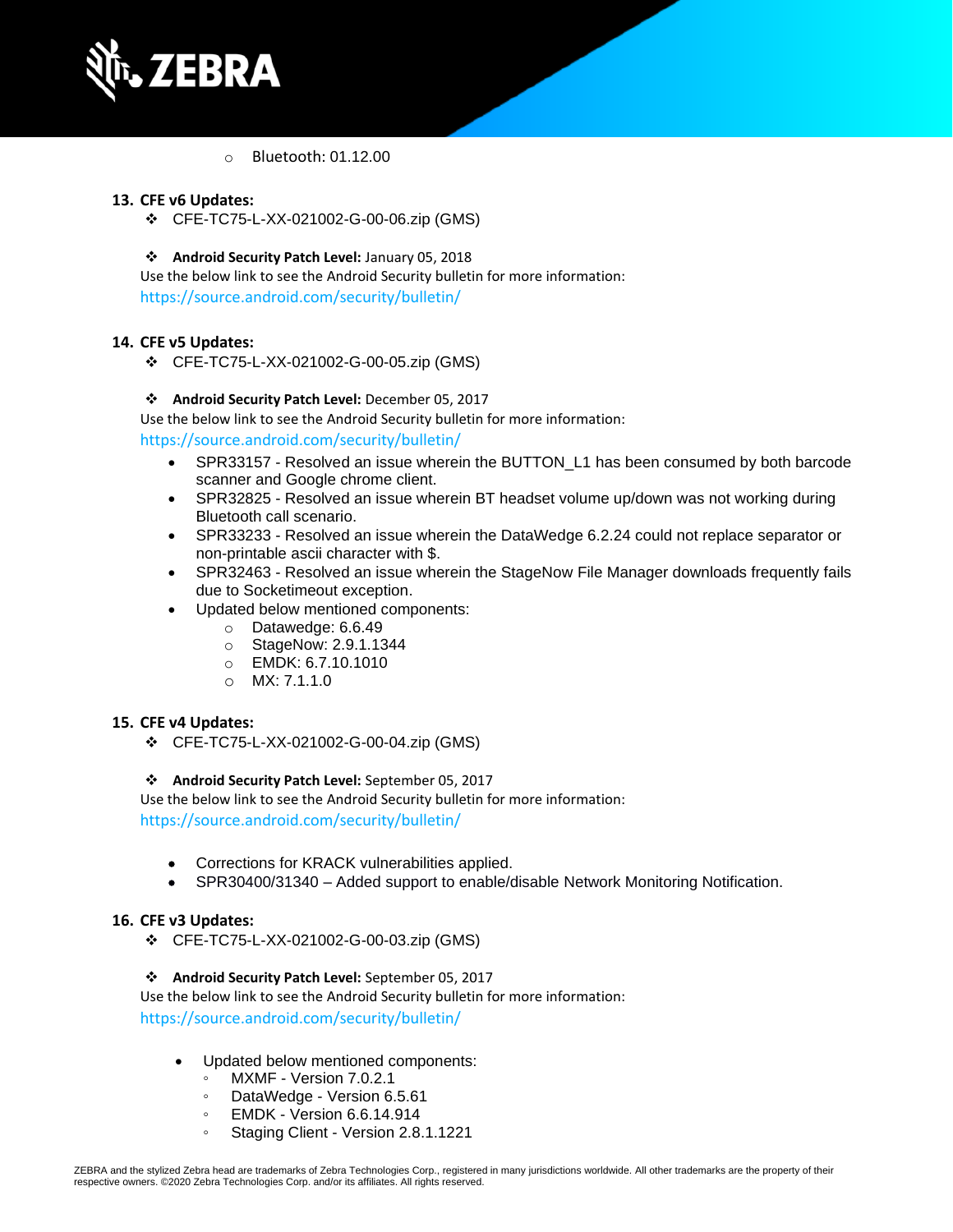

o Bluetooth: 01.12.00

#### **13. CFE v6 Updates:**

❖ CFE-TC75-L-XX-021002-G-00-06.zip (GMS)

#### ❖ **Android Security Patch Level:** January 05, 2018

Use the below link to see the Android Security bulletin for more information: <https://source.android.com/security/bulletin/>

#### **14. CFE v5 Updates:**

❖ CFE-TC75-L-XX-021002-G-00-05.zip (GMS)

#### ❖ **Android Security Patch Level:** December 05, 2017

Use the below link to see the Android Security bulletin for more information:

#### <https://source.android.com/security/bulletin/>

- SPR33157 Resolved an issue wherein the BUTTON\_L1 has been consumed by both barcode scanner and Google chrome client.
- SPR32825 Resolved an issue wherein BT headset volume up/down was not working during Bluetooth call scenario.
- SPR33233 Resolved an issue wherein the DataWedge 6.2.24 could not replace separator or non-printable ascii character with \$.
- SPR32463 Resolved an issue wherein the StageNow File Manager downloads frequently fails due to Socketimeout exception.
- Updated below mentioned components:
	- o Datawedge: 6.6.49
	- o StageNow: 2.9.1.1344
	- o EMDK: 6.7.10.1010
	- o MX: 7.1.1.0

#### **15. CFE v4 Updates:**

❖ CFE-TC75-L-XX-021002-G-00-04.zip (GMS)

#### ❖ **Android Security Patch Level:** September 05, 2017

Use the below link to see the Android Security bulletin for more information: <https://source.android.com/security/bulletin/>

- Corrections for KRACK vulnerabilities applied.
- SPR30400/31340 Added support to enable/disable Network Monitoring Notification.

#### **16. CFE v3 Updates:**

❖ CFE-TC75-L-XX-021002-G-00-03.zip (GMS)

#### ❖ **Android Security Patch Level:** September 05, 2017

Use the below link to see the Android Security bulletin for more information: <https://source.android.com/security/bulletin/>

- Updated below mentioned components:
	- MXMF Version 7.0.2.1
	- DataWedge Version 6.5.61
	- EMDK Version 6.6.14.914
	- Staging Client Version 2.8.1.1221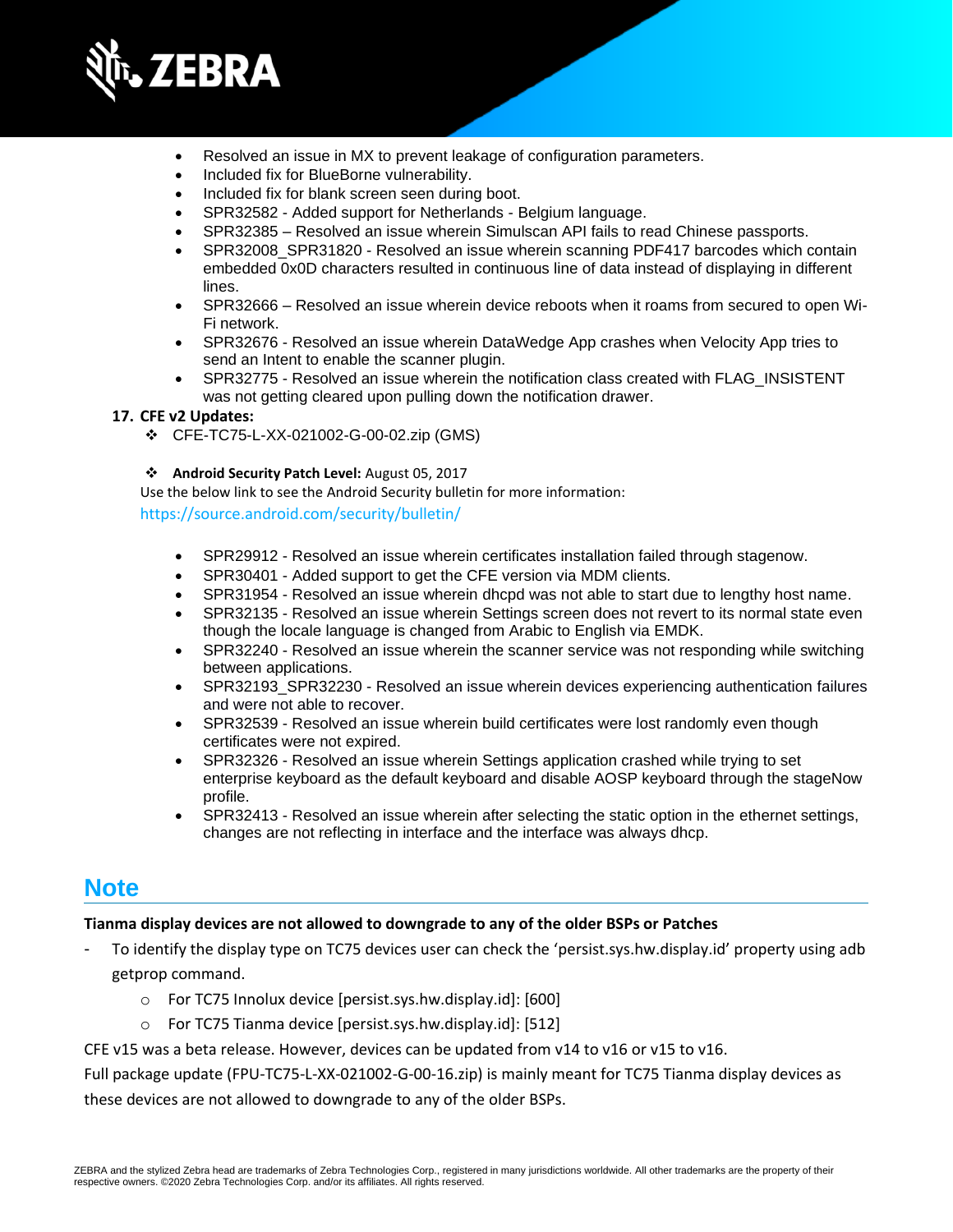

- Resolved an issue in MX to prevent leakage of configuration parameters.
- Included fix for BlueBorne vulnerability.
- Included fix for blank screen seen during boot.
- SPR32582 Added support for Netherlands Belgium language.
- SPR32385 Resolved an issue wherein Simulscan API fails to read Chinese passports.
- SPR32008 SPR31820 Resolved an issue wherein scanning PDF417 barcodes which contain embedded 0x0D characters resulted in continuous line of data instead of displaying in different lines.
- SPR32666 Resolved an issue wherein device reboots when it roams from secured to open Wi-Fi network.
- SPR32676 Resolved an issue wherein DataWedge App crashes when Velocity App tries to send an Intent to enable the scanner plugin.
- SPR32775 Resolved an issue wherein the notification class created with FLAG\_INSISTENT was not getting cleared upon pulling down the notification drawer.

#### **17. CFE v2 Updates:**

- ❖ CFE-TC75-L-XX-021002-G-00-02.zip (GMS)
- ❖ **Android Security Patch Level:** August 05, 2017

Use the below link to see the Android Security bulletin for more information:

<https://source.android.com/security/bulletin/>

- SPR29912 Resolved an issue wherein certificates installation failed through stagenow.
- SPR30401 Added support to get the CFE version via MDM clients.
- SPR31954 Resolved an issue wherein dhcpd was not able to start due to lengthy host name.
- SPR32135 Resolved an issue wherein Settings screen does not revert to its normal state even though the locale language is changed from Arabic to English via EMDK.
- SPR32240 Resolved an issue wherein the scanner service was not responding while switching between applications.
- SPR32193\_SPR32230 Resolved an issue wherein devices experiencing authentication failures and were not able to recover.
- SPR32539 Resolved an issue wherein build certificates were lost randomly even though certificates were not expired.
- SPR32326 Resolved an issue wherein Settings application crashed while trying to set enterprise keyboard as the default keyboard and disable AOSP keyboard through the stageNow profile.
- SPR32413 Resolved an issue wherein after selecting the static option in the ethernet settings, changes are not reflecting in interface and the interface was always dhcp.

### **Note**

#### **Tianma display devices are not allowed to downgrade to any of the older BSPs or Patches**

- To identify the display type on TC75 devices user can check the 'persist.sys.hw.display.id' property using adb getprop command.
	- o For TC75 Innolux device [persist.sys.hw.display.id]: [600]
	- o For TC75 Tianma device [persist.sys.hw.display.id]: [512]

CFE v15 was a beta release. However, devices can be updated from v14 to v16 or v15 to v16.

Full package update (FPU-TC75-L-XX-021002-G-00-16.zip) is mainly meant for TC75 Tianma display devices as these devices are not allowed to downgrade to any of the older BSPs.